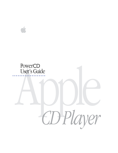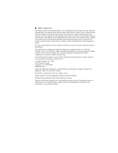#### $\bullet$  Apple Computer, Inc.

This manual and the software described in it are copyrighted, with all rights reserved. Under the copyright laws, this manual or the software may not be copied, in whole or part, without written consent of Apple, except in the normal use of the software or to make a backup copy of the software. The same proprietary and copyright notices must be affixed to any permitted copies as were affixed to the original. This exception does not allow copies to be made for others, whether or not sold, but all of the material purchased (with all backup copies) may be sold, given, or loaned to another person. Under the law, copying includes translating into another language or format.

You may use the software on any computer owned by you, but extra copies cannot be made for this purpose.

The Apple logo is a trademark of Apple Computer, Inc., registered in the U.S. and other countries. Use of the "keyboard" Apple logo (Option-Shift-K) for commercial purposes without the prior written consent of Apple may constitute trademark infringement and unfair competition in violation of federal and state laws.

Every effort has been made to ensure that the information in this manual is accurate. Apple is not responsible for printing or clerical errors.

© Apple Computer, Inc., 1993 20525 Mariani Avenue Cupertino, CA 95014-6299 (408) 996-1010

Apple, the Apple logo, Macintosh, and QuickTime are trademarks of Apple Computer, Inc., registered in the U.S. and other countries.

PowerCD is a trademark of ZCI, Inc., Dallas, Texas.

Kodak and Photo CD are trademarks of Eastman Kodak Company.

Simultaneously published in the United States and Canada.

Mention of third-party products is for informational purposes only and constitutes neither an endorsement nor a recommendation. Apple assumes no responsibility with regard to the performance or use of these products.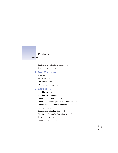

Radio and television interference vi Laser information vii

**1 PowerCD at a glance 1**

Front view 2 Rear view 3 The remote control 4 The message display 6

## **2 Setting up 7**

Attaching the base 8 Attaching the power adapter 9 Connecting to a television 9 Connecting to stereo speakers or headphones 11 Connecting to a Macintosh computer 12 Turning power on or off 16 Loading and unloading discs 16 Viewing the *Introducing PowerCD* disc 17 Using batteries 18 Care and handling 19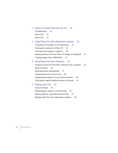# **3 Types of compact discs you can use 21** CD-ROM discs 22 Photo CD<sub>s</sub> 23 Audio CDs 23

### **4 Using Photo CDs with a Macintosh computer 25**

Using Photo CD images on your Macintosh 25 Viewing the contents of a Photo CD 26 Viewing several images in sequence 30 Setting preferences for how Photo CD images are displayed 31 Copying images from a Slide Show 33

#### **5 Using Photo CDs with a television 35**

Using your PowerCD with both a television and a computer 35 Photo CD basics 36 Showing pictures automatically 37 Composing pictures on the screen 38 Programming sequences of your favorite pictures 40 Viewing the original unedited versions of pictures 41

#### **6 Playing audio CDs 43**

Audio CD basics 44 Programming a sequence of audio tracks 45 Playing audio for a specified period of time 47 Playing audio CDs with a Macintosh computer 48

**iv C ONTENTS**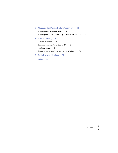# **7 Managing the PowerCD player's memory 49**

Deleting the program for a disc 50 Deleting the entire contents of your PowerCD's memory 50

**8 Troubleshooting 51**

General problems 52 Problems viewing Photo CDs on TV 52 Audio problems 53 Problems using your PowerCD with a Macintosh 53

**9 Technical specifications 57**

**Index 63**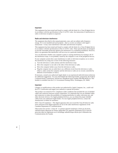#### **Important**

This equipment has been tested and found to comply with the limits for a Class B digital device in accordance with the specifications in Part 15 of FCC rules. See instructions if interference to radio or television reception is suspected.

#### **Radio and television interference**

The equipment described in this manual generates, uses, and can radiate radio-frequency energy. If it is not installed and used properly—that is, in strict accordance with Apple's instructions—it may cause interference with radio and television reception.

This equipment has been tested and found to comply with the limits for a Class B digital device in accordance with the specifications in Part 15 of FCC rules. These specifications are designed to provide reasonable protection against such interference in a residential installation. However, there is no guarantee that interference will not occur in a particular installation.

You can determine whether your computer system is causing interference by turning it off. If the interference stops, it was probably caused by the computer or one of the peripheral devices.

If your computer system does cause interference to radio or television reception, try to correct the interference by using one or more of the following measures:

- m Turn the television or radio antenna until the interference stops.
- m Move the computer to one side or the other of the television or radio.
- m Move the computer farther away from the television or radio.
- m Plug the computer into an outlet that is on a different circuit from the television or radio. (That is, make certain the computer and the television or radio are on circuits controlled by different circuit breakers or fuses.)

If necessary, consult your authorized Apple dealer or an experienced radio/television technician for additional suggestions. You may find helpful the following booklet, prepared by the Federal Communications Commission: *Interference Handbook* (stock number 004-000-00345-4). This booklet is available from the U.S. Government Printing Office, Washington, DC 20402.

#### **Important**

Changes or modifications to this product not authorized by Apple Computer, Inc., could void the FCC Certification and negate your authority to operate the product.

This product was tested for FCC compliance under conditions that included the use of shielded cables and connectors between system components. It is important that you use shielded cables and connectors to reduce the possibility of causing interference to radios, television sets, and other electronic devices. For Apple peripheral devices, you can obtain the proper shielded cables from your authorized Apple dealer. For non-Apple peripheral devices, contact the manufacturer or dealer for assistance.

*DOC Class B Compliance* This digital apparatus does not exceed the Class B limits for radio noise emissions from digital apparatus set out in the radio interference regulations of the Canadian Department of Communications.

*Observation des normes—Classe B* Le présent appareil numérique n'émet pas de bruits radioélectriques dépassant les limites applicables aux appareils numériques de la Classe B prescrites dans les règlements sur le brouillage radioélectrique édictés par le Ministère des Communications du Canada.

 $\ddot{\cdot}$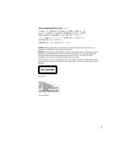#### 情報処理装置等電波障害自主規制について

この装置は、第二種情報装置(住宅地域又はその隣接した地域において使 用されるべき情報装置)で住宅地域での電波障害防止を目的とした情報処 理装置等電波障害自主規制協議会 (VCCI) 基準に適合しております。

しかし、本装置をラジオ、テレビジョン受信機に近接してご使用になると、 受信障害の原因となることがあります。

取扱説明書に従って正しい取り扱いをしてください。

**WARNING** Making adjustments or performing procedures other than those specified in your equipment's manual may result in hazardous exposure.

**WARNING** Do not attempt to disassemble the cabinet containing the laser. The laser beam used in this product is harmful to the eyes. The use of optical instruments, such as magnifying lenses, with this product increases the potential hazard to your eyes. For your safety, have this equipment serviced only by an authorized Apple service provider.

Your CD player is a Class 1 laser product. The Class 1 label, located on the back of the product, indicates that the player meets minimum safety requirements. A service warning label is inside the player.

Class 1 label

| ASER RADIATION                                                                               |
|----------------------------------------------------------------------------------------------|
| WHEN OPEN, DO NOT STARE INTO BEAM                                                            |
| NVISIBLE LASER RADIATION WHEN OPEN.                                                          |
| AVOID DIRECT EXPOSURE TO BEAM                                                                |
| AVATTAESSA JA SUOJALUKITUS OHITETTAESSA OLET<br>ALTTIINANAKYMÄTTÖMÄÄLLE LASERSÄTEILYLLE. ALA |
| KATSO SATEESEEN                                                                              |
| OSYNLIG LASERSTRÅLNING NÄR DENNA DEL ÄR ÖPPNAD                                               |
| OCH SPARREN AR URKOPPLAD. BETRAKTA EJ STRALEN                                                |

Service warning label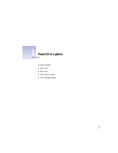

# **In this chapter**

- $\blacksquare$  Front view
- $\blacksquare$  Rear view
- $\blacksquare$  The remote control
- $\blacksquare$  The message display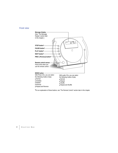## **Front view**



**\***For an explanation of these buttons, see "The Remote Control" section later in this chapter.

**2 C HAPTER O N E**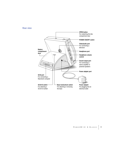## **Rear view**

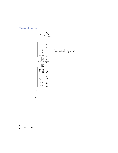# **The remote control**

PROG. STORE INSERT SKIP FTS/FPS EDIT **123 4 5 6 9 9 9** SHUFFLE **0** REPEAT REV. PLAY AMS AUTO PLAY PAUSE PREV. PLAY NEXT STOP FULL NORMAL ROTATE ROTATE FRAME ZOOM  $\begin{picture}(60,6) \put(0,0){\vector(0,1){10}} \put(15,0){\vector(0,1){10}} \put(15,0){\vector(0,1){10}} \put(15,0){\vector(0,1){10}} \put(15,0){\vector(0,1){10}} \put(15,0){\vector(0,1){10}} \put(15,0){\vector(0,1){10}} \put(15,0){\vector(0,1){10}} \put(15,0){\vector(0,1){10}} \put(15,0){\vector(0,1){10}} \put(15,0){\vector(0,1){10}} \put(15,0){\vector(0,$  $\overline{\mathbb{C}^2}$ 

For more information about using the remote control, see Chapters 5-7.

# **4 C HAPTER O N E**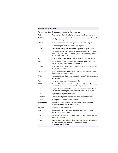#### **Buttons on the remote control**

|                                             | Arrows ( $\iff$ <b>Duo</b> ) Move a picture or the frame up, down, left, or right.                                                                                                                              |  |  |
|---------------------------------------------|-----------------------------------------------------------------------------------------------------------------------------------------------------------------------------------------------------------------|--|--|
| AMS                                         | (Automatic Music Scan) Plays the first ten seconds of each track on an audio CD.                                                                                                                                |  |  |
| <b>AUTOPLAY</b>                             | Displays pictures in an automatically advancing slide show. You can also select<br>the duration of each picture.                                                                                                |  |  |
| <b>INSERT</b>                               | Inserts a picture in front of the current picture in a programmed sequence.                                                                                                                                     |  |  |
| <b>EDIT</b>                                 | Selects the length of time that an audio CD will be played.                                                                                                                                                     |  |  |
| <b>FRAME</b>                                | Shows the area of the picture that will be enlarged when you press ZOOM.                                                                                                                                        |  |  |
| <b>FTS/FPS</b>                              | With Photo CDs, turns FPS (Favorite Picture Selection) on and off. (FPS is on until<br>you turn it off.) With audio CDs, turns FTS (Favorite Track Selection) on and off.<br>(FTS is off until you turn it on.) |  |  |
| <b>FULL</b>                                 | Shows an entire picture on a small scale surrounded by a black background.                                                                                                                                      |  |  |
| <b>NEXT</b>                                 | Selects the next picture or audio track. With Photo CDs, holding down NEXT<br>scans quickly forward through a sequence of pictures.                                                                             |  |  |
| <b>NORMAL</b>                               | Shows a normal-sized picture. (The picture takes up the entire screen, and some<br>portions of the picture are hidden.)                                                                                         |  |  |
| Numbers (0-9)                               | Select a specific picture or audio track. With portfolio Photo CDs, use numbers to<br>choose options from on-screen menus.                                                                                      |  |  |
| <b>PAUSE</b>                                | Pauses a sequence of pictures or an audio track. Pressing PAUSE a second time<br>resumes play.                                                                                                                  |  |  |
| <b>PLAY</b>                                 | Displays a picture or begins playing an audio CD.                                                                                                                                                               |  |  |
| PREV.                                       | (Previous) Selects the previous picture or audio track. With Photo CDs, holding<br>down PREV scans quickly backward through a sequence of pictures.                                                             |  |  |
| PROG.                                       | (Program) Places an audio track in a programmed sequence of tracks. (Or, if the<br>track is already in the program, PROG. removes the track from the program.)                                                  |  |  |
| <b>REPEAT</b>                               | Plays the picture sequence continuously.                                                                                                                                                                        |  |  |
| REV. PLAY                                   | (Reverse Play) Plays a picture sequence or audio tracks in reverse order.                                                                                                                                       |  |  |
| <b>ROTATE</b>                               | Turns a picture clockwise or counterclockwise.                                                                                                                                                                  |  |  |
| Scan $(44 \rightharpoonup \rightharpoonup)$ | Holding down a Scan button searches quickly (either forward or backward)<br>through a sequence of pictures or audio tracks.                                                                                     |  |  |
| <b>SHUFFLE</b>                              | Plays audio tracks in random order.                                                                                                                                                                             |  |  |
| <b>SKIP</b>                                 | Deletes a picture from a programmed sequence. With audio CDs, deletes a<br>program from the player's memory.                                                                                                    |  |  |
| <b>STOP</b>                                 | Stops playing a sequence of pictures or an audio track. With portfolio Photo CDs,<br>displays the main menu.                                                                                                    |  |  |
| <b>STORE</b>                                | Saves any changes you make to a picture or program. With audio CDs, saves a<br>programmed sequence of audio tracks in the player's memory.                                                                      |  |  |
| <b>ZOOM</b>                                 | Enlarges a portion of a picture.                                                                                                                                                                                |  |  |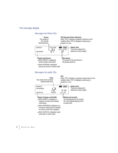## **The message display**

## **Messages for Photo CDs**



**6 C HAPTER O N E**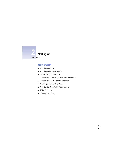

## **In this chapter**

- Attaching the base
- m Attaching the power adapter
- $\blacksquare$  Connecting to a television
- $\blacksquare$  Connecting to stereo speakers or headphones
- **Connecting to a Macintosh computer**
- m Loading and unloading discs
- m Viewing the *Introducing PowerCD* disc
- **m** Using batteries
- Care and handling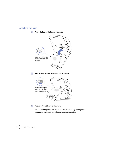# **Attaching the base**

**1 Attach the base to the back of the player.**



**2 Slide the switch on the base to the locked position.**



#### **3 Place the PowerCD on a level surface.**

Avoid blocking the vents on the PowerCD or on any other piece of equipment, such as a television or computer monitor.

# **8 C HAPTER T W O**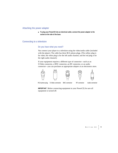### **Attaching the power adapter**

■ **To plug your PowerCD into an electrical outlet, connect the power adapter to the socket on the side of the base.**

## **Connecting to a television**

## **Do you have what you need?**

You connect your player to a television using the video/audio cable (included with the player). The cable has three RCA phono plugs. (The yellow plug is for video, the white plug is for the left audio channel, and the red plug is for the right audio channel.)

If your equipment requires a different type of connector—such as an S-Video connector, a BNC connector, an RF connector, or an audio connector—you can purchase an appropriate adapter at an electronics store.









RCA phono plug S-Video connector BNC connector RF connector Audio connector

.<br>al-nh

**IMPORTANT** Before connecting equipment to your PowerCD, be sure all equipment is turned off.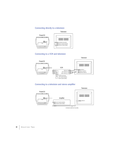# **Connecting directly to a television**



# **Connecting to a VCR and television**



# **Connecting to a television and stereo amplifier**



**10 C HAPTER T W O**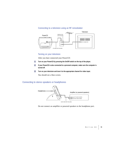# **Connecting to a television using an RF remodulator**



### **Turning on your television**

After you have connected your PowerCD:

- **1 Turn on your PowerCD by pressing the On/Off switch on the top of the player.**
- **2 If your PowerCD is also connected to a personal computer, make sure the computer is turned off.**
- **3 Turn on your television and tune it to the appropriate channel for video input.**

You should see a blue screen.

# **Connecting to stereo speakers or headphones**



Do not connect an amplifier or powered speakers to the headphone port.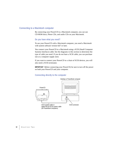## **Connecting to a Macintosh computer**

By connecting your PowerCD to a Macintosh computer, you can use CD-ROM discs, Photo CDs, and audio CDs on your Macintosh.

#### **Do you have what you need?**

To use your PowerCD with a Macintosh computer, you need a Macintosh with system software version 6.0.7 or later.

You connect your PowerCD to a Macintosh using a SCSI (Small Computer Systems Interface) cable. See the diagrams in this section to determine the type of cable you need. If you do not have a SCSI cable, you can purchase one at a computer supply store.

If you want to connect your PowerCD to a chain of SCSI devices, you will also need a SCSI terminator.

**IMPORTANT** Before connecting your PowerCD, be sure to turn off the power on both your PowerCD and your computer.

#### **Connecting directly to the computer**



**12 C HAPTER T W O**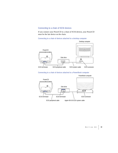# **Connecting to a chain of SCSI devices**

If you connect your PowerCD to a chain of SCSI devices, your PowerCD must be the last device on the chain.

#### **Connecting to a chain of devices attached to a desktop computer**





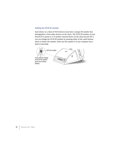# **Setting the SCSI ID number**

Each device in a chain of SCSI devices must have a unique ID number that distinguishes it from other devices on the chain. The SCSI ID number of your PowerCD is preset to 3. If another external device on the chain has the ID 3, you can change the SCSI ID number by pressing either of the small buttons above or below the number. Don't use the number 0 if your computer has a built-in hard disk.

لا **3** SCSI ID number  $\bullet$ If you need to change the SCSI ID number, press one of these buttons.

**14 C HAPTER T W O**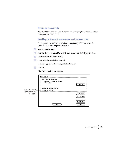#### **Turning on the computer**

You should turn on your PowerCD (and any other peripheral devices) before turning on your computer.

#### **Installing the PowerCD software on a Macintosh computer**

To use your PowerCD with a Macintosh computer, you'll need to install software onto your computer's hard disk.

- **1 Turn on your Macintosh.**
- **2 Insert the floppy disk labeled PowerCD Setup into your computer's floppy disk drive.**
- **3 Double-click the disk icon to open it.**
- **4 Double-click the Installer icon to open it.**

A screen appears welcoming you to the Installer.

**5 Click OK.**

The Easy Install screen appears.

|                     | <b>Easy Install</b>                                                        |                    |
|---------------------|----------------------------------------------------------------------------|--------------------|
|                     | <b>Click Install to install</b><br>• PowerCD setup software<br>• QuickTime | Install            |
| Name of the disk on | on the hard disk named                                                     |                    |
| which software will | $\Box$ Macintosh HD                                                        |                    |
| be installed        |                                                                            | E ject Disk        |
|                     |                                                                            | <b>Switch Disk</b> |
|                     |                                                                            | Customize          |
|                     | Help                                                                       | Quit               |

**S ETTING U <sup>P</sup> 15**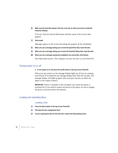**6 Make sure the hard disk named in the box is the one on which you want to install the PowerCD software.**

If it's not, click the Switch Disk button until the name of the correct disk appears.

**7 Click Install.**

Messages appear on the screen describing the progress of the installation.

- **8 When you see a message asking you to insert the QuickTime disk, insert the disk.**
- **9 When you see a message asking you to insert the PowerCD Setup disk, insert the disk.**
- **10 When you see a message saying that installation was successful, click Restart.**

Your Macintosh restarts. The computer can now use discs in your PowerCD.

### **Turning power on or off**

■ To turn power on or off, press the on/off switch on the top of your PowerCD.

When you turn power on, the message display lights up. (If you are running your PowerCD on batteries, the message display dims after ten seconds. The message display will light up again when you press any key on either the player or the remote control.)

**IMPORTANT** Power is available in the CD player even when the player is switched off. If you need to remove all power to the player, be sure to unplug the power cord and remove the batteries.

## **Loading and unloading discs**

#### **Loading a disc**

- **1 Press the Open button on the top of your PowerCD.**
- **2 Pull open the disc compartment door.**
- **3 If you're opening the door for the first time, remove the foam packing insert.**

# **16 C HAPTER T W O**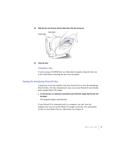#### **4 Slide the disc into the door with the label side of the disc facing out.**



**5 Close the door.**

#### **Unloading a disc**

If you're using a CD-ROM disc on a Macintosh computer, drag the disc icon to the Trash before removing the disc from the player.

# **Viewing the Introducing PowerCD disc**

A good way to become familiar with your PowerCD is to view the *Introducing PowerCD* disc. The disc demonstrates ways to use your PowerCD and includes some sample Photo CD images.

■ **To view the disc on a television connected to your PowerCD, simply load the disc into the player.** 

The program begins automatically.

If your PowerCD is connected only to a computer, you can't view the program, but you can use the Photo CD images on the disc. For instructions on how to view Photo CDs on a Macintosh, see Chapter 4.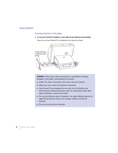## **Using batteries**

#### **Inserting batteries in the player**

■ To use your PowerCD on batteries, insert eight AA-size batteries (not included). You can run your PowerCD on batteries for about one hour.



**WARNING** Follow these safety instructions to avoid battery leakage, damage to your player, and potential fire hazard:

- m Follow the safety instructions that came with your batteries.
- m Make sure not to insert any batteries backwards.
- m Your PowerCD was designed for use with AA-cell alkaline and NiCad (nickel-cadmium) batteries only. For information about other types of batteries, consult your dealer.
- Do not mix different types of batteries. Use eight alkaline batteries or eight NiCad batteries, but do not combine alkaline and NiCad batteries.
- $\blacksquare$  Do not mix old and new batteries.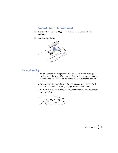### **Inserting batteries in the remote control**

- **1 Open the battery compartment by placing your thumbnail in the curved slot and squeezing.**
- **2 Insert two AAA batteries.**



## **Care and handling**

- Do not leave the disc compartment door open, because dust could get on the lens inside the player. If you need to clean the lens, see your dealer for a lens cleaner. Do not wipe the lens with a paper towel or other abrasive surface.
- m When transporting your player, replace the foam packing insert in the disc compartment. Never transport your player with a disc inside of it.
- m Hold a disc by the edges, or by one edge and the center hole. Do not touch the disc surface.



**S ETTING U <sup>P</sup> 19**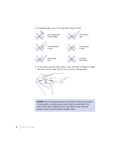m To avoid damage to your CDs, keep these points in mind:



m To clean discs, wipe the shiny surface with a soft cloth, working in straight lines from center to edge. Do not use any form of cleaning agent.



**WARNING** Electrical equipment may be hazardous if misused. Operation of this product or similar products must always be supervised by an adult. Do not allow children access to the interior of any electrical product and do not permit them to handle cables.

**20 C HAPTER T W O**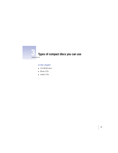

# **3 Types of compact discs you can use**

# **In this chapter**

- **CD-ROM** discs
- Photo CD<sub>s</sub>
- Audio CDs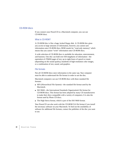#### **CD-ROM discs**

If you connect your PowerCD to a Macintosh computer, you can use CD-ROM discs.

#### **What is CD-ROM?**

A CD-ROM disc is like a huge, locked floppy disk. A CD-ROM disc gives you access to large amounts of information, however, you cannot save information onto CD-ROM discs. ROM stands for "read-only memory," which means that you cannot "write" information onto CD-ROM discs.

A wide selection of CD-ROM discs is available for education, entertainment, and business. One disc can hold over 650 megabytes of information—the equivalent of 270,000 pages of text, up to eight hours of speech or music (depending on the sound quality), hundreds of high-resolution color images, or a combination of text, sound, and graphics.

#### **File formats**

Not all CD-ROM discs store information in the same way. Your computer must be able to understand the file format in order to use the disc.

Macintosh computers can use CD-ROM discs with these standard file formats:

- m HFS (Hierarchical File System)—the standard file format used by the Macintosh.
- m ISO 9660—the International Standards Organization's file format for CD-ROM discs. This format has been adopted by many CD manufacturers to make their discs compatible with a variety of computers. It is also the format used by Photo CD discs.
- m The High Sierra format, which is part of the ISO 9660 format.

Your PowerCD can also work with the CD-ROM XA file format if you install the necessary software on your Macintosh. To find out the availability of software for additional file formats, contact the publisher of the disc you want to use.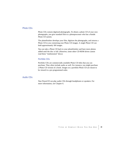## **Photo CDs**

Photo CDs contain digitized photographs. To obtain a photo CD of your own photographs, you give standard film to a photoprocessor who has a Kodak Photo CD system.

The photofinisher develops your film, digitizes the photographs, and returns a Photo CD to you containing your Photo CD images. A single Photo CD can hold approximately 100 images.

You can take a Photo CD back to your photofinisher and have more photos added until the disc is full. (However, some other CD-ROM drives cannot read these "multisession" discs.)

### **Portfolio CDs**

Portfolio CDs are commercially available Photo CD titles that you can purchase. They often include audio as well. For instance, you might purchase a Photo CD version of a book. Images on a portfolio Photo CD are meant to be viewed in a pre-programmed order.

### **Audio CDs**

Your PowerCD can play audio CDs through headphones or speakers. For more information, see Chapter 6.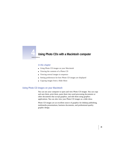

# **4 Using Photo CDs with a Macintosh computer**

### **In this chapter**

- **u** Using Photo CD images on your Macintosh
- m Viewing the contents of a Photo CD
- m Viewing several images in sequence
- m Setting preferences for how Photo CD images are displayed
- Copying images from a Slide Show

## **Using Photo CD images on your Macintosh**

You can use your computer to open and view Photo CD images. You can copy and save them, print them, paste them into word-processing documents or other documents that accept graphics, and edit them using graphics applications. You can also view your Photo CD images as a slide show.

Photo CD images are an excellent source of graphics for desktop publishing, multimedia presentations, business documents, and professional-quality graphic design.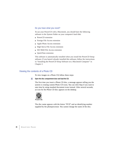#### **Do you have what you need?**

To use your PowerCD with a Macintosh, you should have the following software in the System Folder on your computer's hard disk:

- PowerCD extension
- **Foreign File Access extension**
- **Apple Photo Access extension**
- **High Sierra File Access extension**
- **ISO 9660 File Access extension**
- QuickTime extension

This software is automatically installed when you install the PowerCD Setup software. If you haven't already installed this software, follow the instructions in "Installing the PowerCD Setup Software on a Macintosh Computer" in Chapter 2.

## **Viewing the contents of a Photo CD**

To view images on a Photo CD, follow these steps:

#### **1 Open the disc compartment door and load the CD.**

The first time you insert a Photo CD disc, a message appears telling you the system is creating custom Photo CD icons. You can click Stop if you want to save time by using standard document icons instead. After several seconds, an icon for the Photo CD disc appears on the desktop.



The disc name appears with the letters "PCD" and an identifying number supplied by the photoprocessor. You cannot change the name of the disc.

# **26 C HAPTER F OUR**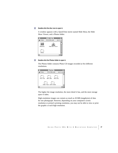#### **2 Double-click the disc icon to open it.**

A window appears with a QuickTime movie named Slide Show, the Slide Show Viewer, and a Photos folder.



#### **3 Double-click the Photos folder to open it.**

The Photos folder contains Photo CD images recorded at five different resolutions.



The higher the image resolution, the more detail it has, and the more storage space it takes.

High-resolution images can contain as much as 18 MB (megabytes) of data for one photograph. However, depending on your computer's screen resolution or printer's printing resolution, you may not be able to view or print the graphic at such high resolution.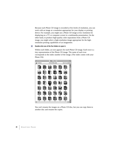Because each Photo CD image is recorded at five levels of resolution, you can work with an image at a resolution appropriate for your display or printing device. For example, you might use a Photo CD image at low resolution for displaying on a TV or computer screen in a multimedia presentation. On the other hand, to produce high-quality color separations from a Photo CD image, you might select a high-resolution image appropriate for the highresolution printing capabilities of an imagesetter.

#### **4 Double-click one of the five folders to open it.**

Within each folder, an icon appears for each Photo CD image. Each icon is a tiny representation of the Photo CD image. The name of each icon corresponds to the index number of the image. (The index comes with your Photo CD.)





# **28 C HAPTER F OUR**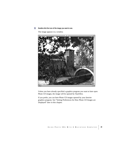**5 Double-click the icon of the image you want to see.**

The image appears in a window.



Unless you have already specified a graphics program you want to have open Photo CD images, the image will be opened by TeachText.

If you prefer, you can have Photo CD images opened by your favorite graphics program. See "Setting Preferences for How Photo CD Images are Displayed" later in this chapter.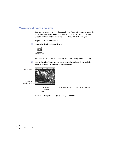# **Viewing several images in sequence**

You can conveniently browse through all your Photo CD images by using the Slide Show movie and Slide Show Viewer in the Photo CD window. The Slide Show file is a QuickTime movie of all your Photo CD images.

To play the Slide Show movie:

**1 Double-click the Slide Show movie icon.**



The Slide Show Viewer automatically begins displaying Photo CD images.

**2 Use the Slide Show Viewer controls to stop or start the movie, scroll to a particular image, or flip forward or backward through the images.**



You can also display an image by typing its number.

**30 C HAPTER F OUR**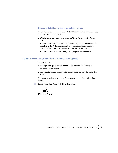### **Opening a Slide Show image in a graphics program**

When you are looking at an image with the Slide Show Viewer, you can copy the image into another program.

m **While the image you want is displayed, choose View or View As from the Photos menu.**

If you choose View, the image opens in the program and at the resolution specified in the Preferences dialog box (described in the next section, "Setting Preferences for How Photo CD Images are Displayed").

If you choose View As, you can specify a program and resolution.

### **Setting preferences for how Photo CD images are displayed**

You can choose:

- $\blacksquare$  which graphics program will automatically open Photo CD images
- $\blacksquare$  which resolution is used
- m how large the images appear on the screen when you view them as a slide show

You set these options by using the Preferences command in the Slide Show Viewer.

**1 Open the Slide Show Viewer by double-clicking its icon.** 



Slide Show Viewer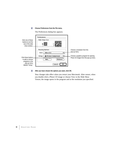#### **2 Choose Preferences from the File menu.**

The Preferences dialog box appears.

|                                                         | <b>Preferences</b>                    |                                        |
|---------------------------------------------------------|---------------------------------------|----------------------------------------|
| Click one of these                                      |                                       |                                        |
| buttons to set the<br>size of the slide<br>show window. |                                       |                                        |
|                                                         |                                       | Choose a resolution from this          |
|                                                         | 768 x 512<br>Size:                    | pop-up menu.                           |
|                                                         |                                       |                                        |
| Click these buttons                                     | <b>面 Picture Compressor</b><br>Using: | Choose a graphics program for opening  |
| to add or remove                                        | Add<br>Remove                         | Photo CD images from this pop-up menu. |
| programs in the                                         |                                       |                                        |
| pop-up menu<br>labeled "Using."                         | Cancel                                |                                        |

**3 After you have chosen the options you want, click OK.** 

Your changes take effect when you restart your Macintosh. After restart, when you double-click a Photo CD image or choose View in the Slide Show Viewer, the image opens in the program and at the resolution you specified.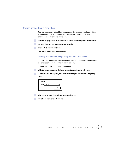### **Copying images from a Slide Show**

You can also copy a Slide Show image using the Clipboard and paste it into any document that accepts images. The image is copied at the resolution chosen in the Preferences dialog box.

- **1 While the image you want is displayed in the viewer, choose Copy from the Edit menu.**
- **2 Open the document you want to paste the image into.**
- **3 Choose Paste from the Edit menu.**

The image appears in your document.

### **Copying a Slide Show image using a different resolution**

You can copy an image displayed in the viewer at a resolution different than the one specified in the Preferences dialog box.

To copy the image at a different resolution:

- **1 While the image you want is displayed, choose Copy As from the Edit menu.**
- **2 In the dialog box that appears, choose the resolution you want from the Size pop-up menu.**

| Copy As |                  |  |  |
|---------|------------------|--|--|
| Size:   | $768 \times 512$ |  |  |
|         | Cancel<br>ΠK     |  |  |

- **3 When you've chosen the resolution you want, click OK.**
- **4 Paste the image into your document.**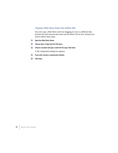### **Copying a Slide Show movie onto another disk**

You can't copy a Slide Show movie by dragging its icon to a different disk, because the links between the movie and the Photo CD are lost. Instead, you need to follow these steps:

- **1 Open the Slide Show Viewer.**
- **2 Choose Save a Copy from the File menu.**
- **3 Choose a location and type a name for the copy. Click Save.**

A file compression dialog box appears.

- **4 If you wish, choose a compression method.**
- **5 Click Save.**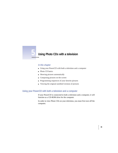

## **5 Using Photo CDs with a television**

### **In this chapter**

- m Using your PowerCD with both a television and a computer
- **Photo CD** basics
- **m** Showing pictures automatically
- $\blacksquare$  Composing pictures on the screen
- **Programming sequences of your favorite pictures**
- m Viewing the original unedited versions of pictures

### **Using your PowerCD with both a television and a computer**

If your PowerCD is connected to both a television and a computer, it will function as a CD-ROM drive for the computer.

In order to view Photo CDs on your television, you must first turn off the computer.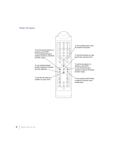### **Photo CD basics**



## **36 C HAPTER F IVE**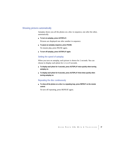### **Showing pictures automatically**

Autoplay shows you all the photos on a disc in sequence, one after the other, automatically.

■ To turn on autoplay, press AUTOPLAY.

Pictures are displayed one after another in sequence.

■ To pause an autoplay sequence, press PAUSE.

To resume play, press PAUSE again.

■ To turn off autoplay, press AUTOPLAY again.

### **Setting the speed of autoplay**

When you turn on autoplay, each picture is shown for 2 seconds. You can choose to display each photo for 2, 4, or 8 seconds.

- To display each photo for 4 seconds, press AUTOPLAY twice quickly when turning **autoplay on.**
- To display each photo for 8 seconds, press AUTOPLAY three times quickly when **turning autoplay on.**

### **Repeating the disc continuously**

■ **To show all the photos on a disc in a repeating loop, press REPEAT on the remote control.**

To turn off repeating, press REPEAT again.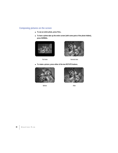## **Composing pictures on the screen**

- m **To see an entire photo, press FULL.**
- To have a photo take up the entire screen (with some parts of the photo hidden), **press NORMAL.**





Full view **Normal view** Normal view

m **To rotate a picture, press either of the two ROTATE buttons.**



Before After



**38 C HAPTER F IVE**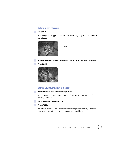### **Enlarging part of picture**

### **1 Press FRAME.**

A rectangular box appears on the screen, indicating the part of the picture to be enlarged.



- **2 Press the arrow keys to move the frame to the part of the picture you want to enlarge.**
- **3 Press ZOOM.**



### **Storing your favorite view of a picture**

**1 Make sure that "FPS" is lit on the message display.**

If FPS (Favorite Picture Selection) is not displayed, you can turn it on by pressing FTS/FPS.

- **2 Set up the picture the way you like it.**
- **3 Press STORE.**

Your favorite view of the picture is stored in the player's memory. The next time you see the picture, it will appear the way you like it.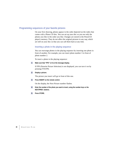### **Programming sequences of your favorite pictures**

On your first showing, photos appear in the order depicted on the index that comes with a Photo CD disc. You can set up your disc so you see only the photos you like in the order you like. Changes are stored in the PowerCD player's memory. They do not affect the original pictures in any way, which are still on your disc so that you can call them back at any time.

### **Inserting a photo in the playing sequence**

You can rearrange photos in the playing sequence by inserting one photo in front of another. For example, you can insert photo number 3 in front of photo number 2.

To insert a photo in the playing sequence:

### **1 Make sure that "FPS" is lit on the message display.**

If FPS (Favorite Picture Selection) is not displayed, you can turn it on by pressing FTS/FPS.

**2 Display a picture.**

The picture you insert will go in front of this one.

**3 Press INSERT on the remote control.**

On the display, the Next Picture number flashes.

- **4 Enter the number of the photo you want to insert, using the number keys or the NEXT/PREV. buttons.**
- **5 Press STORE.**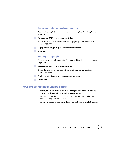### **Removing a photo from the playing sequence**

You can skip the photos you don't like. To remove a photo from the playing sequence:

**1 Make sure that "FPS" is lit on the message display.**

If FPS (Favorite Picture Selection) is not displayed, you can turn it on by pressing FTS/FPS.

- **2 Display the picture by pressing its number on the remote control.**
- **3 Press SKIP.**

### **Restoring a skipped photo**

Skipped photos are still on the disc. To restore a skipped photo to the playing sequence:

**1 Make sure that "FPS" is lit on the message display.**

If FPS (Favorite Picture Selection) is not displayed, you can turn it on by pressing FTS/FPS.

- **2 Display the picture by pressing its number on the remote control.**
- **3 Press STORE.**

### **Viewing the original unedited versions of pictures**

■ To see your pictures as they appeared on your original disc—before you made any **changes—you just turn off FPS (Favorite Picture Selection).**

When FPS is on, the letters "FPS" appear on the message display. You can turn FPS off by pressing FTS/FPS.

To see the pictures as you edited them, press FTS/FPS to turn FPS back on.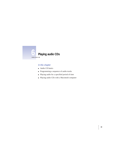

### **In this chapter**

- $\blacksquare$  Audio CD basics
- m Programming a sequence of audio tracks
- m Playing audio for a specified period of time
- m Playing audio CDs with a Macintosh computer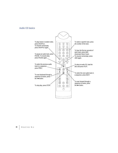### **Audio CD basics**



## **44 C HAPTER S I X**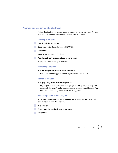### **Programming a sequence of audio tracks**

With a disc loaded, you can set tracks to play in any order you want. You can also store the program permanently in the PowerCD's memory.

### **Creating a program**

- **1 If music is playing, press STOP.**
- **2 Select a track using the number keys or NEXT/PREV.**
- **3 Press PROG.**

PROGRAM appears on the display.

**4 Repeat steps 2 and 3 to add more tracks to your program.**

A program can contain up to 30 tracks.

### **Reviewing a program**

■ To review a program you have created, press PROG.

Each track number appears on the display in the order you set.

### **Playing a program**

■ To play a program you have created, press PLAY.

Play begins with the first track in the program. During program play, you can use all the player's audio functions except program compiling and Time Edit. You can scan only within the track being played.

### **Removing a track from a program**

A track can appear only once in a program. Programming a track a second time removes it from the program.

- **1 Stop the player.**
- **2 Select a track that has already been programmed.**
- **3 Press PROG.**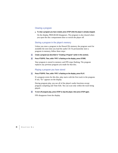### **Clearing a program**

■ To clear a program you have created, press STOP while the player is already stopped.

On the display, PROGRAM disappears. The program is also cleared when you open the disc compartment door or switch the player off.

### **Storing a program in the player's memory**

Unless you store a program in the PowerCD's memory, the program won't be available the next time you load the audio CD. To permanently store a program in memory, follow these steps:

**1 Create a program (as described in "Creating a Program" earlier in this section).**

#### **2 Press FTS/FPS. Then, while "FPS" is flashing on the display, press STORE.**

Your program is stored in memory and FPS stops flashing. The program replaces any previous program you made for that disc.

#### **Playing a program you have stored**

#### **1 Press FTS/FPS. Then, while "FPS" is flashing on the display, press PLAY.**

If a program exists for this disc, play starts with the first track in the program. If not, "Er" appears on the display.

During program play, you use all of the player's audio functions except program compiling and Time Edit. You can scan only within the track being played.

#### **2 To turn off program play, press STOP to stop the player, then press STOP again.**

FPS disappears from the display.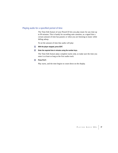### **Playing audio for a specified period of time**

The Time Edit feature of your PowerCD lets you play music for any time up to 99 minutes. This is handy for recording onto cassettes, as a signal that a certain amount of time has passed, or when you are listening to music while falling asleep.

To set the amount of time that audio will play:

- **1 With the player stopped, press EDIT.**
- **2 Enter the required time in minutes using the number keys.**

The Time Edit feature plays complete tracks only, so make sure the time you enter is at least as long as the first audio track.

**3 Press PLAY.** 

Play starts, and the time begins to count down on the display.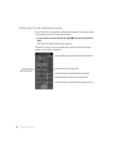### **Playing audio CDs with a Macintosh computer**

If your PowerCD is connected to a Macintosh computer, you can play audio CDs using the PowerCD Audio desk accessory.

■ To open the desk accessory, pull down the Apple ( $\bigcirc$ ) menu and choose PowerCD **Audio.**

The PowerCD Audio desk accessory appears.

If PowerCD Audio is not in the Apple menu, install the PowerCD Setup software as described in Chapter 2.

|                                                | <b>PowerCD Audio</b><br>П                                               |                                                                     |
|------------------------------------------------|-------------------------------------------------------------------------|---------------------------------------------------------------------|
| Click this button to.<br>play or pause a disc. | <b>Track</b><br>$-02$<br>Time<br>-03<br>Stop<br>$-04$<br>$-05$<br>$-06$ | Drag this slider to jump quickly to specific locations on the disc. |
|                                                | <b>E</b> ject<br>Play<br>$-07$<br>$-08$                                 | Click this button to stop or eject a disc.                          |
|                                                | Scan -<br>-09<br>$-10^{-1}$                                             | Press these buttons to scan quickly forward or backward.            |
|                                                | -Track-<br>$-11$<br>ÞН<br>н<br>-12                                      | Click these buttons to select the next or previous track.           |
|                                                | <b>Right</b><br>Left<br>-13<br>47<br>¢Þ<br>10<br>-15                    | Click these buttons to turn the left and right speakers on or off.  |
|                                                | -16<br>$-17$                                                            |                                                                     |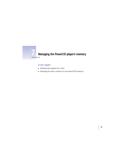

# **Managing the PowerCD player's memory**

### **In this chapter**

- **•** Deleting the program for a disc
- m Deleting the entire contents of your PowerCD's memory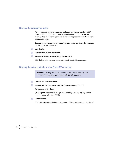### **Deleting the program for a disc**

As you store more photo sequences and audio programs, your PowerCD player's memory gradually fills up. If you see the word "FULL" on the message display, it means you need to clear some programs in order to store additional changes.

To make room available in the player's memory, you can delete the programs for discs that you seldom use.

- **1 Load the disc.**
- **2 Press FTS/FPS on the remote control.**
- **3 While FPS is flashing on the display, press SKIP twice.**

FPS flashes until the program for that disc is deleted from memory.

### **Deleting the entire contents of your PowerCD's memory**

**WARNING** Deleting the entire contents of the player's memory will remove all the programs you have made for all your CDs.

#### **1 Open the disc compartment door.**

**2 Press FTS/FPS on the remote control. Then immediately press REPEAT.**

"A" appears on the display.

(At this point you can still change your mind by pressing any key on the remote control *other than* SKIP.)

### **3 Press SKIP twice.**

"Clr" is displayed until the entire contents of the player's memory is cleared.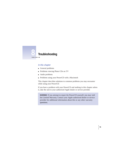

### **In this chapter**

- **m** General problems
- m Problems viewing Photo CDs on TV
- Audio problems
- m Problems using your PowerCD with a Macintosh

This chapter describes solutions to common problems you may encounter while using your PowerCD.

If you have a problem with your PowerCD and nothing in this chapter solves it, take the unit to your authorized Apple dealer or service provider.

**WARNING** If you attempt to repair the PowerCD yourself, you may void the Limited Warranty. Contact your Apple authorized dealer or service provider for additional information about this or any other warranty questions.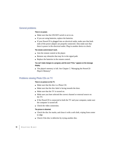### **General problems**

#### **There is no power.**

- m Make sure that the ON/OFF switch is set to on.
- m If you are using batteries, replace the batteries.
- m If your PowerCD is plugged into an electrical outlet, make sure that both ends of the power adapter are properly connected. Also make sure that there is power in the electrical outlet. Plug in another device to check.

#### **The remote control doesn't work.**

- m Aim the remote control at the player.
- Remove any obstacles that may lie in the signal path.
- m Replace the batteries in the remote control.

### **You can't make changes to a program, and the word "FULL" appears on the message display.**

■ The player's memory is full. See Chapter 7, "Managing the PowerCD Player's Memory."

### **Problems viewing Photo CDs on TV**

#### **There is no picture on the TV.**

- m Make sure that the disc is a Photo CD.
- $\blacksquare$  Make sure that the disc label is facing towards the door.
- $\blacksquare$  Make sure that the TV is turned on.
- m Make sure you have selected the correct channel or external source on the TV.
- m If the PowerCD is connected to both the TV and your computer, make sure the computer is turned off.
- $\blacksquare$  Check the video connection.

#### **The picture is distorted.**

- m Check the disc for marks, and clean it with a soft cloth, wiping from center to edge.
- $\blacksquare$  Check if the disc is defective by trying another disc.

## **52 C HAPTER E IGHT**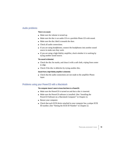### **Audio problems**

#### **There is no sound.**

- m Make sure the volume is turned up.
- m Make sure the disc is an audio CD or a portfolio Photo CD with sound.
- **Make sure the disc label is towards the door.**
- **n** Check all audio connections.
- If you are using headphones, connect the headphones into another sound source to make sure they work.
- m If you are using a high-fidelity amplifier, check whether it is working by trying another sound source.

#### **The sound is distorted.**

- m Check the disc for marks, and clean it with a soft cloth, wiping from center to edge.
- $\blacksquare$  Check if the disc is defective by trying another disc.

#### **Sound from a high-fidelity amplifier is distorted.**

m Check that the audio connections are not made to the amplifier Phono input.

### **Problems using your PowerCD with a Macintosh**

#### **The computer doesn't seem to know that there is a PowerCD.**

- m Make sure the PowerCD is turned on and that a disc is inserted.
- m Make sure the PowerCD software is installed. (See "Installing the PowerCD Software on a Macintosh Computer" in Chapter 2.)
- **Restart your computer.**
- m Check that each SCSI device attached to your computer has a unique SCSI ID number. (See "Setting the SCSI ID Number" in Chapter 2.)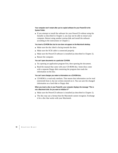### **Your computer won't restart after you've copied software for your PowerCD to the System Folder.**

m If you attempt to install the software for your PowerCD without using the Installer as described in Chapter 2, you may not be able to restart your computer. Restart using another startup disk and install the software according to the instructions in Chapter 2.

#### **You insert a CD-ROM disc but its icon does not appear on the Macintosh desktop.**

- m Make sure the disc label is facing towards the door.
- m Make sure the SCSI cable is connected properly.
- m Make sure the PowerCD software is installed (as described in Chapter 2).
- m Restart the computer.

#### **You can't open documents on a particular CD-ROM.**

- m Try opening an application program first, then opening the document.
- m Read the manual that came with your CD-ROM disc. Some discs come with a separate floppy disk containing the program that reads the information on the disc.

#### **You can't save changes you make to information on a CD-ROM disc.**

m CD-ROM is a read-only medium. That means that information can be read (retrieved) from it, but not written (stored) on it. You can save the changed information on a hard disk or floppy disk.

### **When you insert a disc in your PowerCD, your computer displays the message "This is not a Macintosh disk: Do you want to initialize it?"**

- m Make sure the PowerCD software is installed (as described in Chapter 2).
- $\blacksquare$  The disc may use a format that the Macintosh cannot recognize. Exchange it for a disc that works with your Macintosh.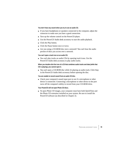#### **You don't hear any sound when you try to use an audio CD.**

- m If you have headphones or speakers connected to the computer, adjust the connector to make sure you have a good connection.
- m Turn up the volume control on the PowerCD player.
- Use the PowerCD Audio desk accessory to start the audio playback.
- $\blacksquare$  Click the Play button.
- Click the Pause button once or twice.
- m Are you using a CD-ROM disc over a network? You can't hear the audio portion of discs you access over a network.

#### **You can't open a track icon on an audio CD.**

■ You can't play tracks on audio CDs by opening track icons. Use the PowerCD Audio desk accessory to play audio tracks.

### **When you double-click the icon of a CD that combines audio tracks and data (while that CD is playing), you cannot open it.**

m You can't open a CD-ROM disc while it's playing an audio track. Click Stop in the PowerCD Audio desk accessory before opening the disc.

#### **You are unable to record sound from an audio CD disc.**

m Check your computer's sound input port to see if a microphone or other device is connected. Connecting a microphone or other device to the port turns off the computer's ability to record from your CD-ROM drive.

#### **Your PowerCD will not open Photo CD discs.**

■ To open Photo CD images, your computer must have both QuickTime and the Photo CD extension installed on your system. Be sure to install the PowerCD software (as described in Chapter 2).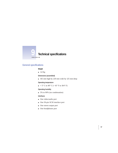

### **General specifications**

### **Weight**

 $1.4$  Kg

### **Dimensions (assembled)**

 $\blacksquare$  165 mm high by 220 mm wide by 125 mm deep

#### **Operating temperature**

 $+ 5^{\circ}$  C to 40° C (+41° F to 104° F)

#### **Operating humidity**

 $\Box$  5% to 90% (no condensation)

#### **Interfaces**

- One video/audio port
- m One 50-pin SCSI interface port
- **n** One stereo output port
- m One headphones port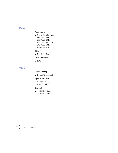### **Power**

### **Power adapter**

 $\blacksquare$  One of the following: 120 V AC, 60 Hz 230 V AC, 50 Hz 100 V AC, 50/60 Hz 240 V AC, 50 Hz 100 to 240 V AC, 50/60 Hz

### **DC input**

■ 7 to 11 V, 1.2 A

#### **Power consumption**

 $15 W$ 

### **Video**

#### **Video out (CVBS)**

 $\blacksquare$  1 Vpp (75-ohm load)

### **Signal-to-noise ratio**

 $\blacksquare$  > 48 dB (PAL)  $> 50$  dB (NTSC)  $\,$ 

#### **Bandwidth**

 $\blacksquare$  > 4.5 MHz (PAL) > 4.2 MHz (NTSC)

## **58 C HAPTER N INE**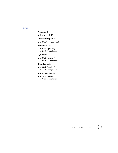### **Audio**

### **Analog output**

 $\blacksquare$  2 Vrms +/- 2 dB

#### **Headphones output power**

 $\blacksquare$   $\geq$  30 mW (47-ohm load)

### **Signal-to-noise ratio**

- $\blacksquare$  ≥ 95 dB (speakers)
	- ≥ 82 dB (headphones)

#### **Dynamic range**

 $\blacksquare$  ≥ 80 dB (speakers) ≥ 84 dB (headphones)

#### **Channel separation**

 $\blacksquare$  ≥ 90 dB (speakers) ≥ 75 dB (headphones)

#### **Total harmonic distortion**

 $\blacksquare$  ≤ 70 dB (speakers) ≤ 75 dB (headphones)

# **T ECHNICAL S PECIFICATIONS 59**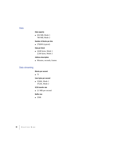### **Data**

### **Data capacity**

 $\bullet$  656 MB, Mode 1 748 MB, Mode 2

### **Number of blocks per disc**

 $270,000$  (typical)

### **Data per block**

 $\Box$  2,048 bytes, Mode 1 2,336 bytes, Mode 2

#### **Address description**

Minutes, seconds, frames

### **Data streaming**

### **Blocks per second**

 $-75$ 

**User bytes per second**

**m** 153.6K, Mode 1 175.2K, Mode 2

#### **SCSI transfer rate**

■ 2.1 MB per second

#### **Buffer size**

 $256K$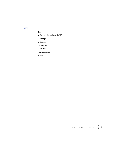### **Laser**

### **Type**

 $\blacksquare$  Semiconductor laser GaAIAs

### **Wavelength**

■ 780 nm

**Output power**

 $\blacksquare$  0.6 mW

**Beam divergence**

 $\blacksquare$  54.8°

**T ECHNICAL S PECIFICATIONS 61**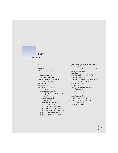## **Index**

### **A**

adapters 9 address description 60 amplifier connecting to 11 troubleshooting 53 AMS (Automatic Music Scan) button 5, 44 analog output 59 arrow buttons 5 audio CDs. *See also* discs basics of 44 clearing a program 46 ejecting with PowerCD Audio 48 messages for 6 modes of play for 2 networks and 55 pausing an audio track 44 playing a program 45 playing a stored program 46 playing for a specified period 47 playing tracks in random order 44 playing with a Macintosh 48 playing with PowerCD Audio 48

programming a sequence of audio tracks 45–46 removing a track from a program 45 reviewing a program 45 scanning 44 scanning with PowerCD Audio 48 selecting a track 44 selecting next or previous track with PowerCD Audio 48 speakers and 48 stopping play 44 storing a program in player's memory 46 troubleshooting 53, 55 audio specifications 59 troubleshooting 53, 55 Automatic Music Scan (AMS) button 5, 44 AUTOPLAY button 37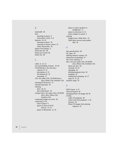### **B**

bandwidth 58 base attaching to player 8 lock/unlock switch 3, 8 batteries 18–19 inserting in player 18 inserting in remote control 19 safety instructions 18 battery level display 6 blocks per disc 60 blocks per second 60 buffer size 60

### **C**

cables 9, 12–13 care and handling of player 19–20 CD-ROM discs. *See also* discs capacity of 22 description of 22 file formats for 22 unloading 17 CDs. *See* audio CDs; CD-ROM discs; discs; Photo CDs; Portfolio CDs chaining SCSI devices 13 channel separation 59 cleaning discs 20, 52 lens inside player 19 compact discs. *See* audio CDs; CD-ROM discs; discs; Photo CDs; Portfolio CDs composing images on screen 38 connecting 9–16 base to player 8 player to chain of SCSI devices 12–13 player to Macintosh 12–16

player to stereo speakers or headphones 11 player to television 9–11 power adapter to socket 9 copying images from a Slide Show 33 Slide Show movies onto another disk 34

### **D**

data specifications 60 DC input 58 deleting memory contents 50 dimensions (assembled) 57 disc icons, opening 27 discs. *See also* audio CDs; CD-ROM discs; Photo CDs; Portfolio CDs blocks per disc 60 cleaning 20, 52 damaging 20 deleting programs from 50 handling 19 loading and unloading 16–17 types of 21–23 dynamic range 59

### **E**

EDIT button 5, 47 electrical hazard 20 enlarging Photo CD images 38–39 erasing audio CD programs 46 audio track from programs 5, 45 memory 50 Photo CD images from playing sequence 41

**64 I NDEX**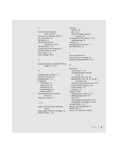### **F**

Favorite Picture Selection (FPS) 6, 39–41 Favorite Track Selection (FTS) 5 file compression 34 file formats 22 FPS (Favorite Picture Selection) 6, 39–41 FRAME button 5, 39 FTS (Favorite Track Selection) 5 FTS/FPS button 5, 39–41 FULL button 5, 38 FULL message 50, 52

### **G**

graphics programs, opening Slide Show images in 31–32

### **H**

handling player and discs 19 harmonic distortion 59 headphone port 3, 11 headphones connecting to 11 output power 59 specifications 59 troubleshooting 53 volume control 3 HFS (Hierarchical File System) format 22 High Sierra format 22

### **I, J, K**

images. *See* Photo CDs; Slide Show movies index number of Photo CD images 28 INSERT button 5, 40

inserting batteries 18 discs 16–17 Photo CD image in playing sequence 40 installing PowerCD software 15–16 troubleshooting 54 interfaces 57 *Introducing PowerCD* disc 17 ISO 9660 format 22

### **L**

laser specifications 61 lens inside player, cleaning 19 loading and unloading discs 16–17

#### **M**

Macintosh connecting to 12–16 installing PowerCD software on 15–16 playing audio CDs with 48 playing Photo CDs with 25–34. *See also* Photo CDs problems using PowerCD with 53–55 System Folder, software in 26 system software 12 turning on 15 memory 49–50 deleting entire contents of 50 deleting program from 50 full 50, 52 storing audio CD programs in 46 storing Photo CD images in 39–41 message display 6, 16 minutes and seconds display 6 MODE button 2 movies. *See* Slide Show movies

### **I NDEX 65**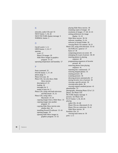### **N**

networks, audio CDs and 55 NEXT button 5, 36, 44 NEXT PICTURE display message 6 NORMAL button 5

### **O**

On/off switch 3, 11 OPEN button 3, 16–17 opening icons 27 Photo CD images 29 Slide Show images in graphics program 31–32 operating temperature and humidity 57

### **P**

Paste command 33 PAUSE button 5, 37, 44 phono plugs 9 Photo CD icons 26 Photo CDs. *See also* discs; Slide Show movies description of 23 loading 26 messages for 6 modes of play for 2 Photo CDs, using with both television and Macintosh 35, 52 Photo CDs, using with a Macintosh 25–34 copying images from a Slide Show 33 copying images into another program 31 copying Slide Show movies onto another disk 34 installing PowerCD software 15–16 opening images 29 opening Slide Show images in graphics program 31–32

playing Slide Show movies 30 renaming copies of images 28 resolution of images 27–28, 32–33 setting preferences for image display 31–32 Slide Show movies 30–34 software, installing 15–16 software in System Folder 26 viewing Photo CD contents 26–31 Photo CDs, using with television 35–41 AUTOPLAY, speed of 37 basics of 36 composing pictures on screen 38 enlarging all or part of picture 38–39 inserting photos in playing sequence 40 programming sequences of favorite pictures 40 removing photos from playing sequence 41 repeating disc continuously 37 restoring skipped photos 41 rotating pictures 38 scanning pictures 36 showing pictures automatically 37 storing favorite view of picture 39 viewing a specific picture 36 viewing entire photo 38 viewing original unedited picture 41 photofinisher 23 photographs, obtaining Photo CD of 23 photos. *See* Photo CDs PICTURE display message 6 pictures. *See* Photo CDs PLAY button 5, 36, 44–45 playing audio CDs 43–48 Photo CDs on a Macintosh 25–34 Photo CDs on a television 35–41 Slide Show movies 30 Portfolio CDs 23 viewing main menu on 36 ports 3, 11

**66 I NDEX**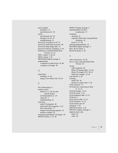power adapter attaching 3, 9 specifications for 58 power specifications for 58 turning on or off 16 troubleshooting 52 PowerCD, turning on or off 16 PowerCD Audio desk accessory 48 *PowerCD Setup* floppy disk 15 PowerCD software, installing 15–16 Preferences command (Slide Show Viewer) 31–32 PREV. button 5, 36, 44 PROG. button 5, 45 PROGRAM display message 6 programming a sequence of audio tracks 45–46 a sequence of images 40

### **Q**

QuickTime installing 15–16 using to view Photo CDs 26–34

### **R**

RCA phono plugs 9 remote control buttons on 5, 36. *See also*  specific button inserting batteries in 19 sensor for 2 troubleshooting 52 removing audio CD programs 46 audio track from programs 5, 45 discs from player 17 images from playing sequence 41 memory contents 50 renaming copied Photo CD images 28 REPEAT button 5, 37, 50

REPEAT display message 6 repeating Photo CD discs continuously 37 resolution choosing 32 copying a Slide Show using different resolution 33 levels of 27–28 restoring skipped photos 41 REVERSE display message 6 REV. PLAY button 5 ROTATE button 5, 38

### **S**

safety instructions 18, 20 Save a Copy command (Slide Show Viewer) 34 saving audio programs 46 Photo CD images (Mac) 33–34 Photo CD images (TV) 39–41 Slide Show images 33–34 scan buttons 5, 36 scanning audio CDs 44 pictures or audio tracks 5, 36 SCSI connector 13 SCSI devices, connecting to chain of 12–13 SCSI ID number 14, 53 SCSI ID switch 3, 14 SCSI peripheral cable 12–13 SCSI port 3 SCSI system cable 12–13 SCSI terminator 12–13 SCSI transfer rate 60 setting up 7–20 SHUFFLE button 5, 44 SHUFFLE display message 6 signal-to-noise ratio audio 59 video 58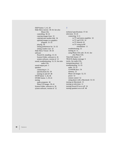SKIP button 5, 41, 50 Slide Show movies 30–34. *See also* Photo CDs controlling 30–32 copying images from 33 copying onto another disk 34 opening images in a graphics program 31–32 playing 30 setting preferences for 31–32 setting window size 32 Slide Show Viewer 30–34 software PowerCD, installing 15–16 System Folder, software in 26 system software, version of 12 sound, troubleshooting 53, 55. *See also* audio CDs sound output port 3 speakers connecting to 11 specifications for 59 turning on and off 48 STOP button 5, 44, 46 STORE button 5, 39–41 storing audio programs 46 Photo CD images 39–41 System Folder, software in 26 system software, version of 12

### **T**

technical specifications 57–61 television 35–41 connecting 9–11 to TV and stereo amplifier 10 to TV and VCR 10 to TV directly 10 to TV using an RF remodulator 11 troubleshooting 52 turning on 11 using Photo CDs with 35–41. *See also* Photo CDs Time Edit feature 47 TRACK display message 6 tracks. *See* audio CDs transporting player 19 troubleshooting 51–55 audio 53, 55 CD-ROM discs 54 memory 52 Photo CD images 52, 55 power 52 remote control 52 using player with a Macintosh 53–55 turning on Macintosh 15 turning on television 11 turning PowerCD on or off 16 turning speakers on or off 48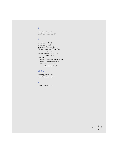### **U**

unloading discs 17 user bytes per second 60

### **V**

video/audio cable 9 video/audio port 3 video specifications 58 View As command (Slide Show Viewer) 31 View command (Slide Show Viewer) 31–32 viewing Photo CDs on Macintosh 26–31 Photo CDs on television 35–41 Slide Show movies on Macintosh 30–34

### **W, X, Y**

warranty, voiding 51 weight specifications 57

### **Z**

ZOOM button 5, 39